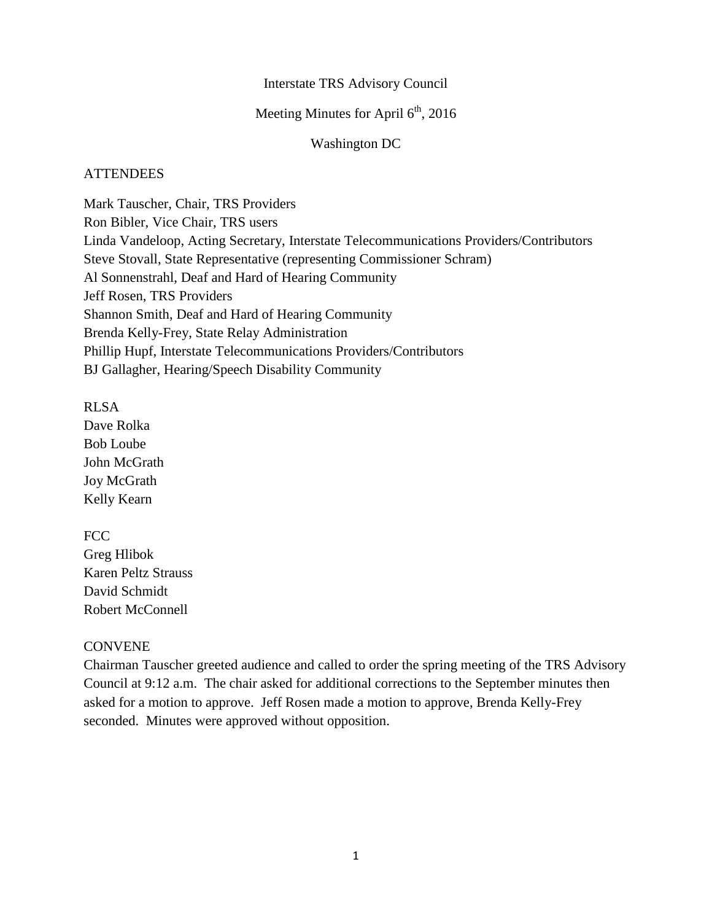### Interstate TRS Advisory Council

## Meeting Minutes for April  $6<sup>th</sup>$ , 2016

### Washington DC

### **ATTENDEES**

Mark Tauscher, Chair, TRS Providers Ron Bibler, Vice Chair, TRS users Linda Vandeloop, Acting Secretary, Interstate Telecommunications Providers/Contributors Steve Stovall, State Representative (representing Commissioner Schram) Al Sonnenstrahl, Deaf and Hard of Hearing Community Jeff Rosen, TRS Providers Shannon Smith, Deaf and Hard of Hearing Community Brenda Kelly-Frey, State Relay Administration Phillip Hupf, Interstate Telecommunications Providers/Contributors BJ Gallagher, Hearing/Speech Disability Community

RLSA

Dave Rolka Bob Loube John McGrath Joy McGrath Kelly Kearn

FCC

Greg Hlibok Karen Peltz Strauss David Schmidt Robert McConnell

## **CONVENE**

Chairman Tauscher greeted audience and called to order the spring meeting of the TRS Advisory Council at 9:12 a.m. The chair asked for additional corrections to the September minutes then asked for a motion to approve. Jeff Rosen made a motion to approve, Brenda Kelly-Frey seconded. Minutes were approved without opposition.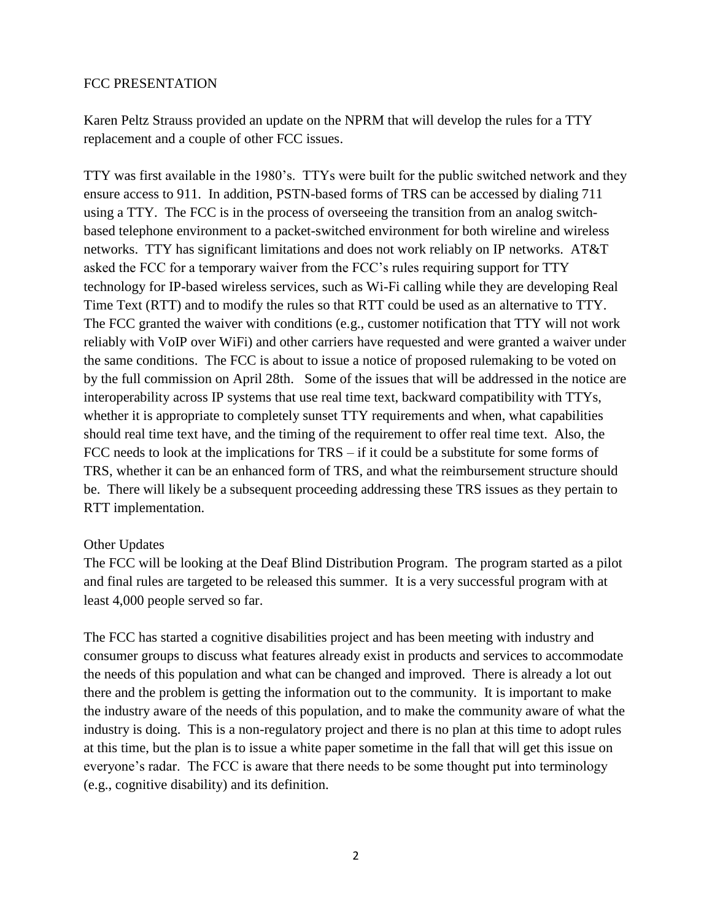### FCC PRESENTATION

Karen Peltz Strauss provided an update on the NPRM that will develop the rules for a TTY replacement and a couple of other FCC issues.

TTY was first available in the 1980's. TTYs were built for the public switched network and they ensure access to 911. In addition, PSTN-based forms of TRS can be accessed by dialing 711 using a TTY. The FCC is in the process of overseeing the transition from an analog switchbased telephone environment to a packet-switched environment for both wireline and wireless networks. TTY has significant limitations and does not work reliably on IP networks. AT&T asked the FCC for a temporary waiver from the FCC's rules requiring support for TTY technology for IP-based wireless services, such as Wi-Fi calling while they are developing Real Time Text (RTT) and to modify the rules so that RTT could be used as an alternative to TTY. The FCC granted the waiver with conditions (e.g., customer notification that TTY will not work reliably with VoIP over WiFi) and other carriers have requested and were granted a waiver under the same conditions. The FCC is about to issue a notice of proposed rulemaking to be voted on by the full commission on April 28th. Some of the issues that will be addressed in the notice are interoperability across IP systems that use real time text, backward compatibility with TTYs, whether it is appropriate to completely sunset TTY requirements and when, what capabilities should real time text have, and the timing of the requirement to offer real time text. Also, the FCC needs to look at the implications for TRS – if it could be a substitute for some forms of TRS, whether it can be an enhanced form of TRS, and what the reimbursement structure should be. There will likely be a subsequent proceeding addressing these TRS issues as they pertain to RTT implementation.

## Other Updates

The FCC will be looking at the Deaf Blind Distribution Program. The program started as a pilot and final rules are targeted to be released this summer. It is a very successful program with at least 4,000 people served so far.

The FCC has started a cognitive disabilities project and has been meeting with industry and consumer groups to discuss what features already exist in products and services to accommodate the needs of this population and what can be changed and improved. There is already a lot out there and the problem is getting the information out to the community. It is important to make the industry aware of the needs of this population, and to make the community aware of what the industry is doing. This is a non-regulatory project and there is no plan at this time to adopt rules at this time, but the plan is to issue a white paper sometime in the fall that will get this issue on everyone's radar. The FCC is aware that there needs to be some thought put into terminology (e.g., cognitive disability) and its definition.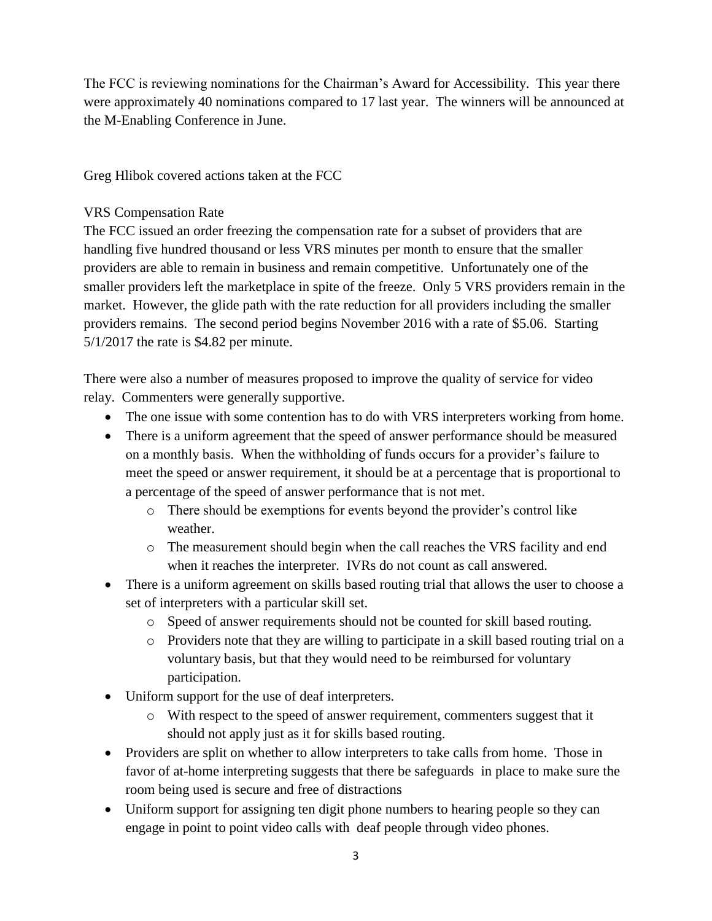The FCC is reviewing nominations for the Chairman's Award for Accessibility. This year there were approximately 40 nominations compared to 17 last year. The winners will be announced at the M-Enabling Conference in June.

Greg Hlibok covered actions taken at the FCC

## VRS Compensation Rate

The FCC issued an order freezing the compensation rate for a subset of providers that are handling five hundred thousand or less VRS minutes per month to ensure that the smaller providers are able to remain in business and remain competitive. Unfortunately one of the smaller providers left the marketplace in spite of the freeze. Only 5 VRS providers remain in the market. However, the glide path with the rate reduction for all providers including the smaller providers remains. The second period begins November 2016 with a rate of \$5.06. Starting 5/1/2017 the rate is \$4.82 per minute.

There were also a number of measures proposed to improve the quality of service for video relay. Commenters were generally supportive.

- The one issue with some contention has to do with VRS interpreters working from home.
- There is a uniform agreement that the speed of answer performance should be measured on a monthly basis. When the withholding of funds occurs for a provider's failure to meet the speed or answer requirement, it should be at a percentage that is proportional to a percentage of the speed of answer performance that is not met.
	- o There should be exemptions for events beyond the provider's control like weather.
	- o The measurement should begin when the call reaches the VRS facility and end when it reaches the interpreter. IVRs do not count as call answered.
- There is a uniform agreement on skills based routing trial that allows the user to choose a set of interpreters with a particular skill set.
	- o Speed of answer requirements should not be counted for skill based routing.
	- o Providers note that they are willing to participate in a skill based routing trial on a voluntary basis, but that they would need to be reimbursed for voluntary participation.
- Uniform support for the use of deaf interpreters.
	- o With respect to the speed of answer requirement, commenters suggest that it should not apply just as it for skills based routing.
- Providers are split on whether to allow interpreters to take calls from home. Those in favor of at-home interpreting suggests that there be safeguards in place to make sure the room being used is secure and free of distractions
- Uniform support for assigning ten digit phone numbers to hearing people so they can engage in point to point video calls with deaf people through video phones.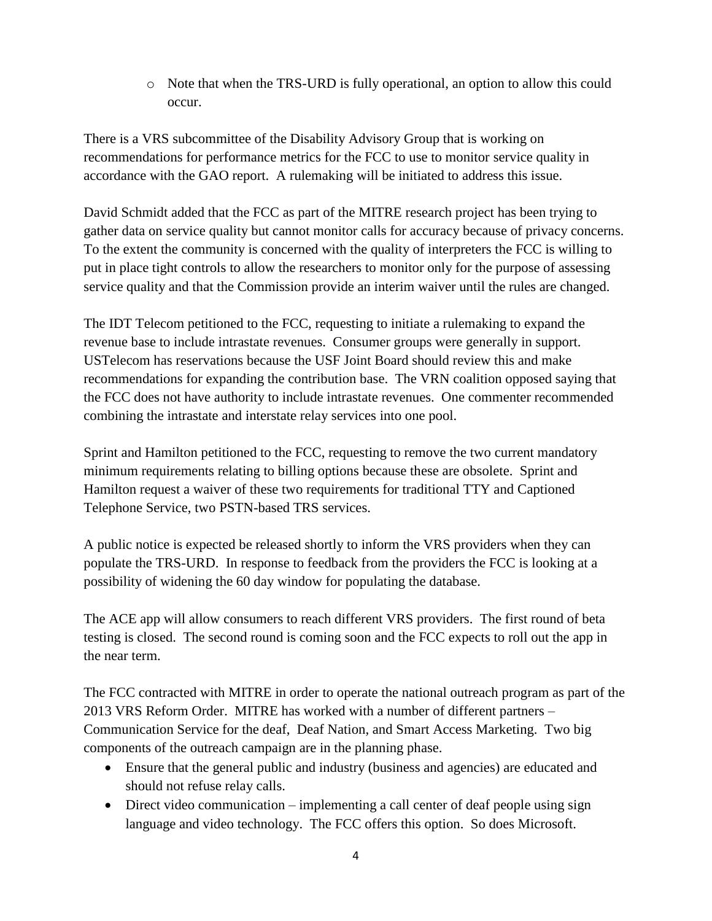o Note that when the TRS-URD is fully operational, an option to allow this could occur.

There is a VRS subcommittee of the Disability Advisory Group that is working on recommendations for performance metrics for the FCC to use to monitor service quality in accordance with the GAO report. A rulemaking will be initiated to address this issue.

David Schmidt added that the FCC as part of the MITRE research project has been trying to gather data on service quality but cannot monitor calls for accuracy because of privacy concerns. To the extent the community is concerned with the quality of interpreters the FCC is willing to put in place tight controls to allow the researchers to monitor only for the purpose of assessing service quality and that the Commission provide an interim waiver until the rules are changed.

The IDT Telecom petitioned to the FCC, requesting to initiate a rulemaking to expand the revenue base to include intrastate revenues. Consumer groups were generally in support. USTelecom has reservations because the USF Joint Board should review this and make recommendations for expanding the contribution base. The VRN coalition opposed saying that the FCC does not have authority to include intrastate revenues. One commenter recommended combining the intrastate and interstate relay services into one pool.

Sprint and Hamilton petitioned to the FCC, requesting to remove the two current mandatory minimum requirements relating to billing options because these are obsolete. Sprint and Hamilton request a waiver of these two requirements for traditional TTY and Captioned Telephone Service, two PSTN-based TRS services.

A public notice is expected be released shortly to inform the VRS providers when they can populate the TRS-URD. In response to feedback from the providers the FCC is looking at a possibility of widening the 60 day window for populating the database.

The ACE app will allow consumers to reach different VRS providers. The first round of beta testing is closed. The second round is coming soon and the FCC expects to roll out the app in the near term.

The FCC contracted with MITRE in order to operate the national outreach program as part of the 2013 VRS Reform Order. MITRE has worked with a number of different partners – Communication Service for the deaf, Deaf Nation, and Smart Access Marketing. Two big components of the outreach campaign are in the planning phase.

- Ensure that the general public and industry (business and agencies) are educated and should not refuse relay calls.
- Direct video communication implementing a call center of deaf people using sign language and video technology. The FCC offers this option. So does Microsoft.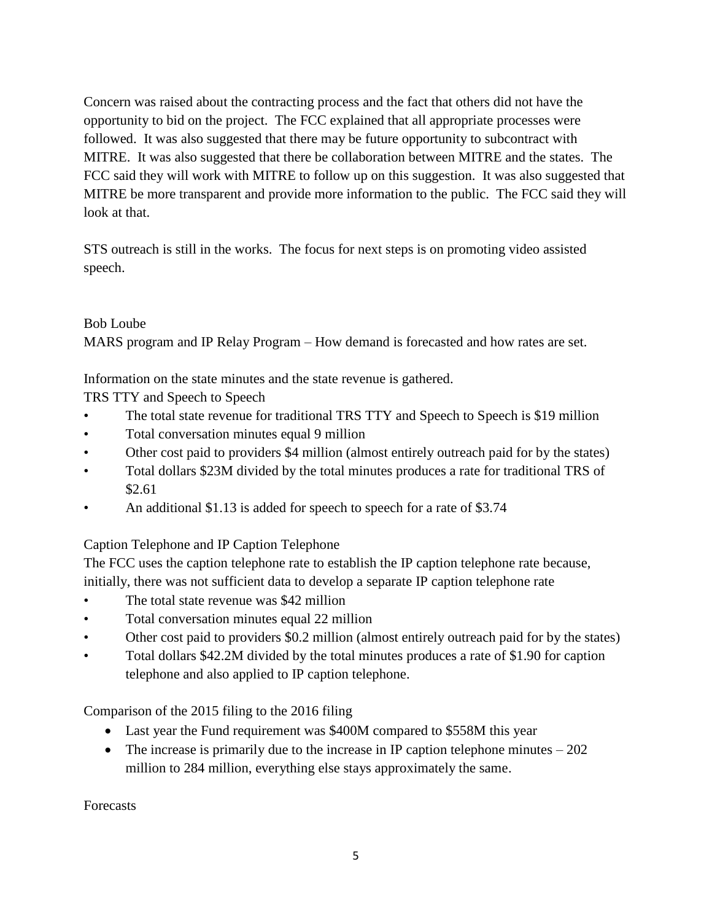Concern was raised about the contracting process and the fact that others did not have the opportunity to bid on the project. The FCC explained that all appropriate processes were followed. It was also suggested that there may be future opportunity to subcontract with MITRE. It was also suggested that there be collaboration between MITRE and the states. The FCC said they will work with MITRE to follow up on this suggestion. It was also suggested that MITRE be more transparent and provide more information to the public. The FCC said they will look at that.

STS outreach is still in the works. The focus for next steps is on promoting video assisted speech.

## Bob Loube

MARS program and IP Relay Program – How demand is forecasted and how rates are set.

Information on the state minutes and the state revenue is gathered.

TRS TTY and Speech to Speech

- The total state revenue for traditional TRS TTY and Speech to Speech is \$19 million
- Total conversation minutes equal 9 million
- Other cost paid to providers \$4 million (almost entirely outreach paid for by the states)
- Total dollars \$23M divided by the total minutes produces a rate for traditional TRS of \$2.61
- An additional \$1.13 is added for speech to speech for a rate of \$3.74

# Caption Telephone and IP Caption Telephone

The FCC uses the caption telephone rate to establish the IP caption telephone rate because, initially, there was not sufficient data to develop a separate IP caption telephone rate

- The total state revenue was \$42 million
- Total conversation minutes equal 22 million
- Other cost paid to providers \$0.2 million (almost entirely outreach paid for by the states)
- Total dollars \$42.2M divided by the total minutes produces a rate of \$1.90 for caption telephone and also applied to IP caption telephone.

Comparison of the 2015 filing to the 2016 filing

- Last year the Fund requirement was \$400M compared to \$558M this year
- The increase is primarily due to the increase in IP caption telephone minutes  $-202$ million to 284 million, everything else stays approximately the same.

Forecasts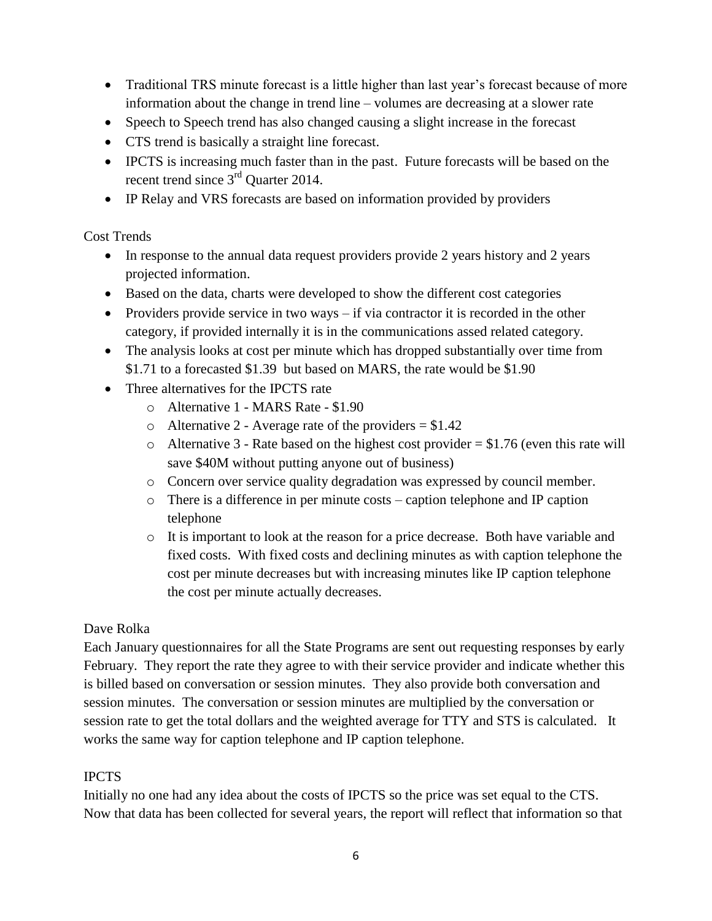- Traditional TRS minute forecast is a little higher than last year's forecast because of more information about the change in trend line – volumes are decreasing at a slower rate
- Speech to Speech trend has also changed causing a slight increase in the forecast
- CTS trend is basically a straight line forecast.
- IPCTS is increasing much faster than in the past. Future forecasts will be based on the recent trend since  $3<sup>rd</sup>$  Quarter 2014.
- IP Relay and VRS forecasts are based on information provided by providers

## Cost Trends

- In response to the annual data request providers provide 2 years history and 2 years projected information.
- Based on the data, charts were developed to show the different cost categories
- Providers provide service in two ways if via contractor it is recorded in the other category, if provided internally it is in the communications assed related category.
- The analysis looks at cost per minute which has dropped substantially over time from \$1.71 to a forecasted \$1.39 but based on MARS, the rate would be \$1.90
- Three alternatives for the IPCTS rate
	- o Alternative 1 MARS Rate \$1.90
	- o Alternative 2 Average rate of the providers  $= $1.42$
	- $\circ$  Alternative 3 Rate based on the highest cost provider = \$1.76 (even this rate will save \$40M without putting anyone out of business)
	- o Concern over service quality degradation was expressed by council member.
	- o There is a difference in per minute costs caption telephone and IP caption telephone
	- o It is important to look at the reason for a price decrease. Both have variable and fixed costs. With fixed costs and declining minutes as with caption telephone the cost per minute decreases but with increasing minutes like IP caption telephone the cost per minute actually decreases.

## Dave Rolka

Each January questionnaires for all the State Programs are sent out requesting responses by early February. They report the rate they agree to with their service provider and indicate whether this is billed based on conversation or session minutes. They also provide both conversation and session minutes. The conversation or session minutes are multiplied by the conversation or session rate to get the total dollars and the weighted average for TTY and STS is calculated. It works the same way for caption telephone and IP caption telephone.

## IPCTS

Initially no one had any idea about the costs of IPCTS so the price was set equal to the CTS. Now that data has been collected for several years, the report will reflect that information so that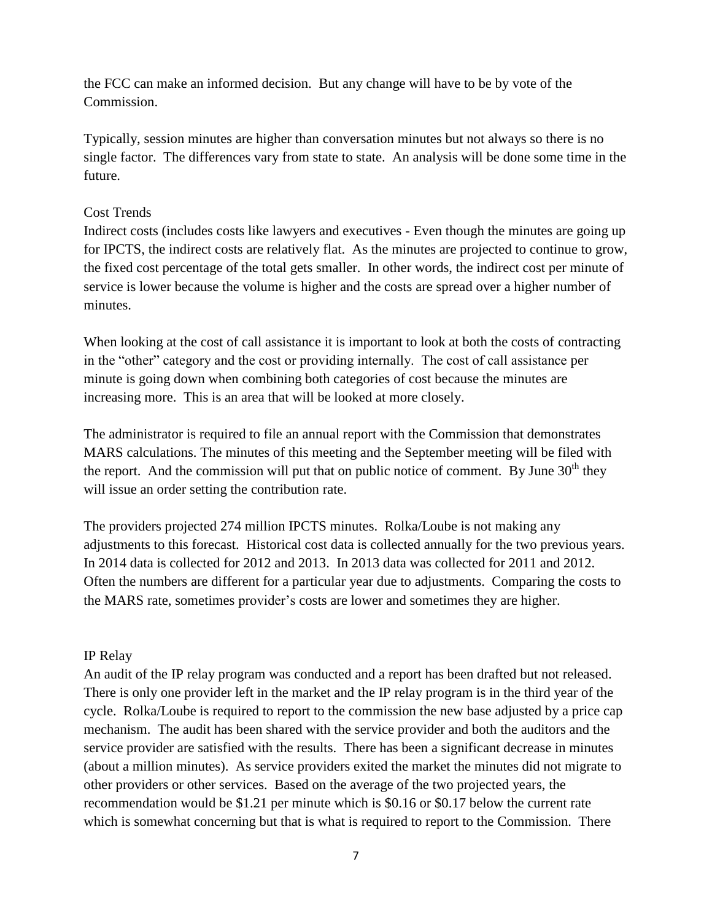the FCC can make an informed decision. But any change will have to be by vote of the Commission.

Typically, session minutes are higher than conversation minutes but not always so there is no single factor. The differences vary from state to state. An analysis will be done some time in the future.

### Cost Trends

Indirect costs (includes costs like lawyers and executives - Even though the minutes are going up for IPCTS, the indirect costs are relatively flat. As the minutes are projected to continue to grow, the fixed cost percentage of the total gets smaller. In other words, the indirect cost per minute of service is lower because the volume is higher and the costs are spread over a higher number of minutes.

When looking at the cost of call assistance it is important to look at both the costs of contracting in the "other" category and the cost or providing internally. The cost of call assistance per minute is going down when combining both categories of cost because the minutes are increasing more. This is an area that will be looked at more closely.

The administrator is required to file an annual report with the Commission that demonstrates MARS calculations. The minutes of this meeting and the September meeting will be filed with the report. And the commission will put that on public notice of comment. By June  $30<sup>th</sup>$  they will issue an order setting the contribution rate.

The providers projected 274 million IPCTS minutes. Rolka/Loube is not making any adjustments to this forecast. Historical cost data is collected annually for the two previous years. In 2014 data is collected for 2012 and 2013. In 2013 data was collected for 2011 and 2012. Often the numbers are different for a particular year due to adjustments. Comparing the costs to the MARS rate, sometimes provider's costs are lower and sometimes they are higher.

## IP Relay

An audit of the IP relay program was conducted and a report has been drafted but not released. There is only one provider left in the market and the IP relay program is in the third year of the cycle. Rolka/Loube is required to report to the commission the new base adjusted by a price cap mechanism. The audit has been shared with the service provider and both the auditors and the service provider are satisfied with the results. There has been a significant decrease in minutes (about a million minutes). As service providers exited the market the minutes did not migrate to other providers or other services. Based on the average of the two projected years, the recommendation would be \$1.21 per minute which is \$0.16 or \$0.17 below the current rate which is somewhat concerning but that is what is required to report to the Commission. There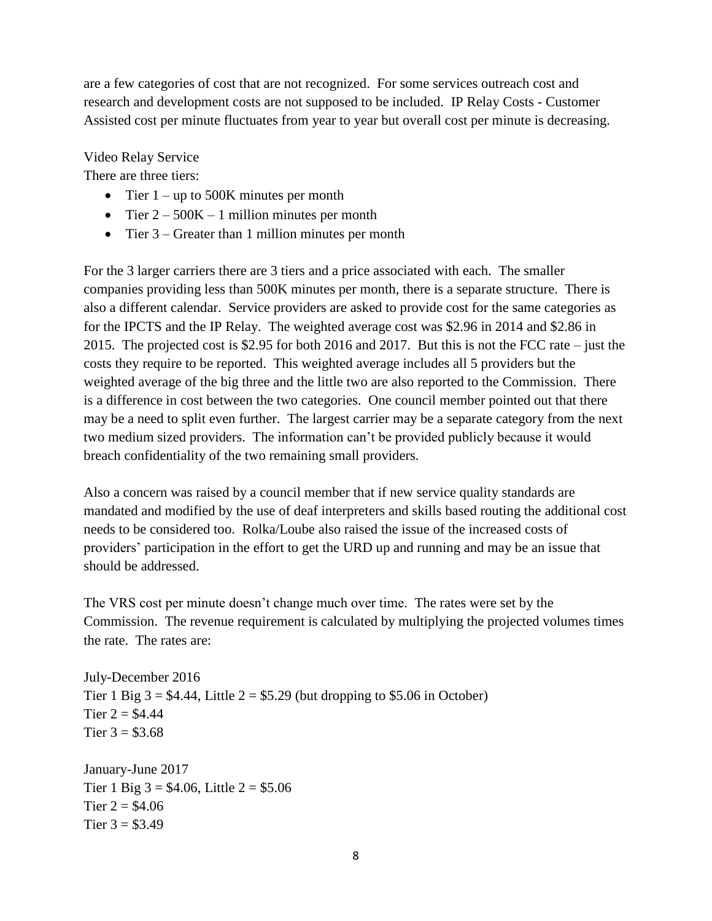are a few categories of cost that are not recognized. For some services outreach cost and research and development costs are not supposed to be included. IP Relay Costs - Customer Assisted cost per minute fluctuates from year to year but overall cost per minute is decreasing.

Video Relay Service

There are three tiers:

- Tier  $1 up$  to 500K minutes per month
- Tier  $2 500K 1$  million minutes per month
- Tier 3 Greater than 1 million minutes per month

For the 3 larger carriers there are 3 tiers and a price associated with each. The smaller companies providing less than 500K minutes per month, there is a separate structure. There is also a different calendar. Service providers are asked to provide cost for the same categories as for the IPCTS and the IP Relay. The weighted average cost was \$2.96 in 2014 and \$2.86 in 2015. The projected cost is \$2.95 for both 2016 and 2017. But this is not the FCC rate – just the costs they require to be reported. This weighted average includes all 5 providers but the weighted average of the big three and the little two are also reported to the Commission. There is a difference in cost between the two categories. One council member pointed out that there may be a need to split even further. The largest carrier may be a separate category from the next two medium sized providers. The information can't be provided publicly because it would breach confidentiality of the two remaining small providers.

Also a concern was raised by a council member that if new service quality standards are mandated and modified by the use of deaf interpreters and skills based routing the additional cost needs to be considered too. Rolka/Loube also raised the issue of the increased costs of providers' participation in the effort to get the URD up and running and may be an issue that should be addressed.

The VRS cost per minute doesn't change much over time. The rates were set by the Commission. The revenue requirement is calculated by multiplying the projected volumes times the rate. The rates are:

July-December 2016 Tier 1 Big  $3 = $4.44$ , Little  $2 = $5.29$  (but dropping to \$5.06 in October) Tier  $2 = $4.44$ Tier  $3 = $3.68$ January-June 2017 Tier 1 Big  $3 = $4.06$ , Little  $2 = $5.06$ Tier  $2 = $4.06$ Tier  $3 = $3.49$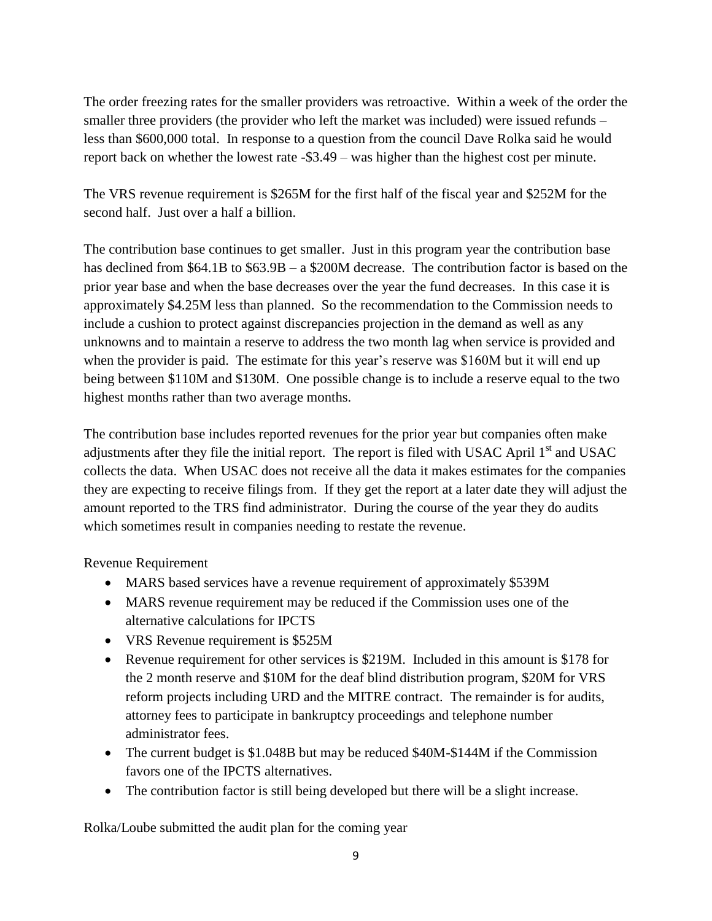The order freezing rates for the smaller providers was retroactive. Within a week of the order the smaller three providers (the provider who left the market was included) were issued refunds – less than \$600,000 total. In response to a question from the council Dave Rolka said he would report back on whether the lowest rate -\$3.49 – was higher than the highest cost per minute.

The VRS revenue requirement is \$265M for the first half of the fiscal year and \$252M for the second half. Just over a half a billion.

The contribution base continues to get smaller. Just in this program year the contribution base has declined from \$64.1B to \$63.9B – a \$200M decrease. The contribution factor is based on the prior year base and when the base decreases over the year the fund decreases. In this case it is approximately \$4.25M less than planned. So the recommendation to the Commission needs to include a cushion to protect against discrepancies projection in the demand as well as any unknowns and to maintain a reserve to address the two month lag when service is provided and when the provider is paid. The estimate for this year's reserve was \$160M but it will end up being between \$110M and \$130M. One possible change is to include a reserve equal to the two highest months rather than two average months.

The contribution base includes reported revenues for the prior year but companies often make adjustments after they file the initial report. The report is filed with USAC April 1<sup>st</sup> and USAC collects the data. When USAC does not receive all the data it makes estimates for the companies they are expecting to receive filings from. If they get the report at a later date they will adjust the amount reported to the TRS find administrator. During the course of the year they do audits which sometimes result in companies needing to restate the revenue.

Revenue Requirement

- MARS based services have a revenue requirement of approximately \$539M
- MARS revenue requirement may be reduced if the Commission uses one of the alternative calculations for IPCTS
- VRS Revenue requirement is \$525M
- Revenue requirement for other services is \$219M. Included in this amount is \$178 for the 2 month reserve and \$10M for the deaf blind distribution program, \$20M for VRS reform projects including URD and the MITRE contract. The remainder is for audits, attorney fees to participate in bankruptcy proceedings and telephone number administrator fees.
- The current budget is \$1.048B but may be reduced \$40M-\$144M if the Commission favors one of the IPCTS alternatives.
- The contribution factor is still being developed but there will be a slight increase.

Rolka/Loube submitted the audit plan for the coming year